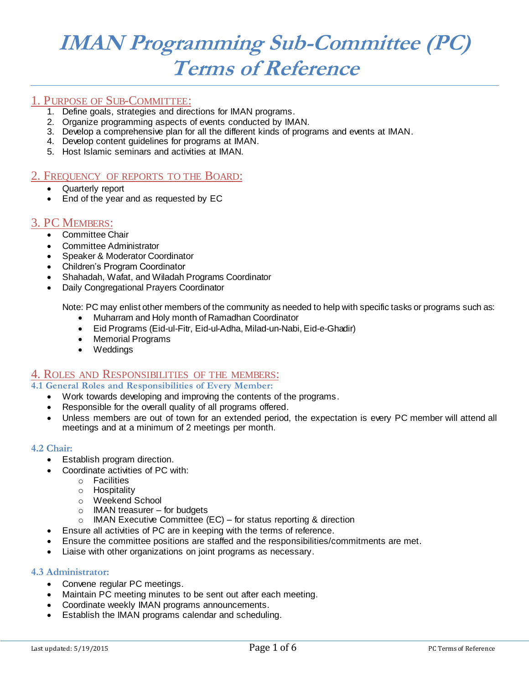# **IMAN Programming Sub-Committee (PC) Terms of Reference**

# 1. PURPOSE OF SUB-COMMITTEE:

- 1. Define goals, strategies and directions for IMAN programs.
- 2. Organize programming aspects of events conducted by IMAN.
- 3. Develop a comprehensive plan for all the different kinds of programs and events at IMAN.
- 4. Develop content guidelines for programs at IMAN.
- 5. Host Islamic seminars and activities at IMAN.

# 2. FREQUENCY OF REPORTS TO THE BOARD:

- Quarterly report
- End of the year and as requested by EC

# 3. PC MEMBERS:

- **•** Committee Chair
- Committee Administrator
- Speaker & Moderator Coordinator
- Children's Program Coordinator
- Shahadah, Wafat, and Wiladah Programs Coordinator
- Daily Congregational Prayers Coordinator

Note: PC may enlist other members of the community as needed to help with specific tasks or programs such as:

- Muharram and Holy month of Ramadhan Coordinator
- Eid Programs (Eid-ul-Fitr, Eid-ul-Adha, Milad-un-Nabi, Eid-e-Ghadir)
- Memorial Programs
- Weddings

# 4. ROLES AND RESPONSIBILITIES OF THE MEMBERS:

# **4.1 General Roles and Responsibilities of Every Member:**

- Work towards developing and improving the contents of the programs.
- Responsible for the overall quality of all programs offered.
- Unless members are out of town for an extended period, the expectation is every PC member will attend all meetings and at a minimum of 2 meetings per month.

# **4.2 Chair:**

- Establish program direction.
- Coordinate activities of PC with:
	- o Facilities
	- o Hospitality
	- o Weekend School
	- o IMAN treasurer for budgets
	- o IMAN Executive Committee (EC) for status reporting & direction
- Ensure all activities of PC are in keeping with the terms of reference.
- Ensure the committee positions are staffed and the responsibilities/commitments are met.
- Liaise with other organizations on joint programs as necessary.

## **4.3 Administrator:**

- Convene regular PC meetings.
- Maintain PC meeting minutes to be sent out after each meeting.
- Coordinate weekly IMAN programs announcements.
- Establish the IMAN programs calendar and scheduling.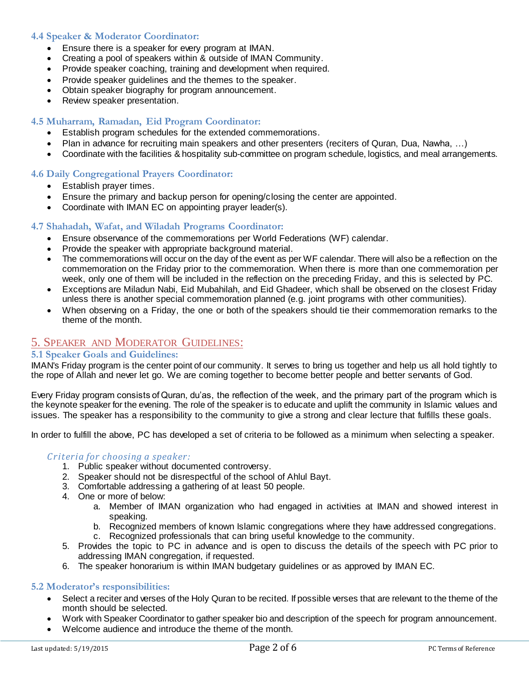# **4.4 Speaker & Moderator Coordinator:**

- Ensure there is a speaker for every program at IMAN.
- Creating a pool of speakers within & outside of IMAN Community.
- Provide speaker coaching, training and development when required.
- Provide speaker guidelines and the themes to the speaker.
- Obtain speaker biography for program announcement.
- Review speaker presentation.

# **4.5 Muharram, Ramadan, Eid Program Coordinator:**

- Establish program schedules for the extended commemorations.
- Plan in advance for recruiting main speakers and other presenters (reciters of Quran, Dua, Nawha, …)
- Coordinate with the facilities & hospitality sub-committee on program schedule, logistics, and meal arrangements.

## **4.6 Daily Congregational Prayers Coordinator:**

- Establish prayer times.
- Ensure the primary and backup person for opening/closing the center are appointed.
- Coordinate with IMAN EC on appointing prayer leader(s).

#### **4.7 Shahadah, Wafat, and Wiladah Programs Coordinator:**

- Ensure observance of the commemorations per World Federations (WF) calendar.
- Provide the speaker with appropriate background material.
- The commemorations will occur on the day of the event as per WF calendar. There will also be a reflection on the commemoration on the Friday prior to the commemoration. When there is more than one commemoration per week, only one of them will be included in the reflection on the preceding Friday, and this is selected by PC.
- Exceptions are Miladun Nabi, Eid Mubahilah, and Eid Ghadeer, which shall be observed on the closest Friday unless there is another special commemoration planned (e.g. joint programs with other communities).
- When observing on a Friday, the one or both of the speakers should tie their commemoration remarks to the theme of the month.

# 5. SPEAKER AND MODERATOR GUIDELINES:

## **5.1 Speaker Goals and Guidelines:**

IMAN's Friday program is the center point of our community. It serves to bring us together and help us all hold tightly to the rope of Allah and never let go. We are coming together to become better people and better servants of God.

Every Friday program consists of Quran, du'as, the reflection of the week, and the primary part of the program which is the keynote speaker for the evening. The role of the speaker is to educate and uplift the community in Islamic values and issues. The speaker has a responsibility to the community to give a strong and clear lecture that fulfills these goals.

In order to fulfill the above, PC has developed a set of criteria to be followed as a minimum when selecting a speaker.

## *Criteria for choosing a speaker:*

- 1. Public speaker without documented controversy.
- 2. Speaker should not be disrespectful of the school of Ahlul Bayt.
- 3. Comfortable addressing a gathering of at least 50 people.
- 4. One or more of below:
	- a. Member of IMAN organization who had engaged in activities at IMAN and showed interest in speaking.
	- b. Recognized members of known Islamic congregations where they have addressed congregations.
	- c. Recognized professionals that can bring useful knowledge to the community.
- 5. Provides the topic to PC in advance and is open to discuss the details of the speech with PC prior to addressing IMAN congregation, if requested.
- 6. The speaker honorarium is within IMAN budgetary guidelines or as approved by IMAN EC.

## **5.2 Moderator's responsibilities:**

- Select a reciter and verses of the Holy Quran to be recited. If possible verses that are relevant to the theme of the month should be selected.
- Work with Speaker Coordinator to gather speaker bio and description of the speech for program announcement.
- Welcome audience and introduce the theme of the month.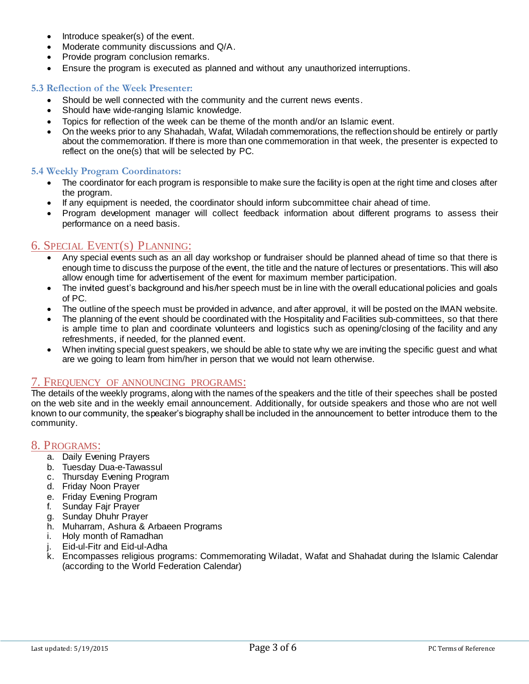- Introduce speaker(s) of the event.
- Moderate community discussions and Q/A.
- Provide program conclusion remarks.
- Ensure the program is executed as planned and without any unauthorized interruptions.

#### **5.3 Reflection of the Week Presenter:**

- Should be well connected with the community and the current news events.
- Should have wide-ranging Islamic knowledge.
- Topics for reflection of the week can be theme of the month and/or an Islamic event.
- On the weeks prior to any Shahadah, Wafat, Wiladah commemorations, the reflection should be entirely or partly about the commemoration. If there is more than one commemoration in that week, the presenter is expected to reflect on the one(s) that will be selected by PC.

#### **5.4 Weekly Program Coordinators:**

- The coordinator for each program is responsible to make sure the facility is open at the right time and closes after the program.
- If any equipment is needed, the coordinator should inform subcommittee chair ahead of time.
- Program development manager will collect feedback information about different programs to assess their performance on a need basis.

# 6. SPECIAL EVENT(S) PLANNING:

- Any special events such as an all day workshop or fundraiser should be planned ahead of time so that there is enough time to discuss the purpose of the event, the title and the nature of lectures or presentations. This will also allow enough time for advertisement of the event for maximum member participation.
- The invited guest's background and his/her speech must be in line with the overall educational policies and goals of PC.
- The outline of the speech must be provided in advance, and after approval, it will be posted on the IMAN website.
- The planning of the event should be coordinated with the Hospitality and Facilities sub-committees, so that there is ample time to plan and coordinate volunteers and logistics such as opening/closing of the facility and any refreshments, if needed, for the planned event.
- When inviting special guest speakers, we should be able to state why we are inviting the specific guest and what are we going to learn from him/her in person that we would not learn otherwise.

## 7. FREQUENCY OF ANNOUNCING PROGRAMS:

The details of the weekly programs, along with the names of the speakers and the title of their speeches shall be posted on the web site and in the weekly email announcement. Additionally, for outside speakers and those who are not well known to our community, the speaker's biography shall be included in the announcement to better introduce them to the community.

## 8. PROGRAMS:

- a. Daily Evening Prayers
- b. Tuesday Dua-e-Tawassul
- c. Thursday Evening Program
- d. Friday Noon Prayer
- e. Friday Evening Program
- f. Sunday Fajr Prayer
- g. Sunday Dhuhr Prayer
- h. Muharram, Ashura & Arbaeen Programs
- i. Holy month of Ramadhan
- j. Eid-ul-Fitr and Eid-ul-Adha
- k. Encompasses religious programs: Commemorating Wiladat, Wafat and Shahadat during the Islamic Calendar (according to the World Federation Calendar)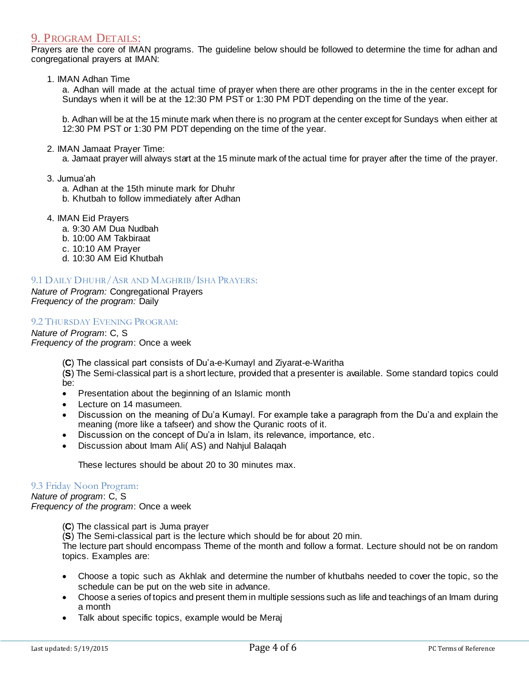# 9. PROGRAM DETAILS:

Prayers are the core of IMAN programs. The guideline below should be followed to determine the time for adhan and congregational prayers at IMAN:

1. IMAN Adhan Time

a. Adhan will made at the actual time of prayer when there are other programs in the in the center except for Sundays when it will be at the 12:30 PM PST or 1:30 PM PDT depending on the time of the year.

b. Adhan will be at the 15 minute mark when there is no program at the center except for Sundays when either at 12:30 PM PST or 1:30 PM PDT depending on the time of the year.

2. IMAN Jamaat Prayer Time:

a. Jamaat prayer will always start at the 15 minute mark of the actual time for prayer after the time of the prayer.

- 3. Jumua'ah
	- a. Adhan at the 15th minute mark for Dhuhr
	- b. Khutbah to follow immediately after Adhan
- 4. IMAN Eid Prayers
	- a. 9:30 AM Dua Nudbah
	- b. 10:00 AM Takbiraat
	- c. 10:10 AM Prayer
	- d. 10:30 AM Eid Khutbah

#### 9.1 DAILY DHUHR/ASR AND MAGHRIB/ISHA PRAYERS:

*Nature of Program:* Congregational Prayers *Frequency of the program:* Daily

#### 9.2 THURSDAY EVENING PROGRAM:

*Nature of Program*: C, S *Frequency of the program*: Once a week

(**C**) The classical part consists of Du'a-e-Kumayl and Ziyarat-e-Waritha

(**S**) The Semi-classical part is a short lecture, provided that a presenter is available. Some standard topics could be:

- Presentation about the beginning of an Islamic month
- Lecture on 14 masumeen.
- Discussion on the meaning of Du'a Kumayl. For example take a paragraph from the Du'a and explain the meaning (more like a tafseer) and show the Quranic roots of it.
- Discussion on the concept of Du'a in Islam, its relevance, importance, etc .
- Discussion about Imam Ali( AS) and Nahjul Balaqah

These lectures should be about 20 to 30 minutes max.

#### 9.3 Friday Noon Program:

# *Nature of program*: C, S

*Frequency of the program*: Once a week

(**C**) The classical part is Juma prayer

(**S**) The Semi-classical part is the lecture which should be for about 20 min.

The lecture part should encompass Theme of the month and follow a format. Lecture should not be on random topics. Examples are:

- Choose a topic such as Akhlak and determine the number of khutbahs needed to cover the topic, so the schedule can be put on the web site in advance.
- Choose a series of topics and present them in multiple sessions such as life and teachings of an Imam during a month
- Talk about specific topics, example would be Meraj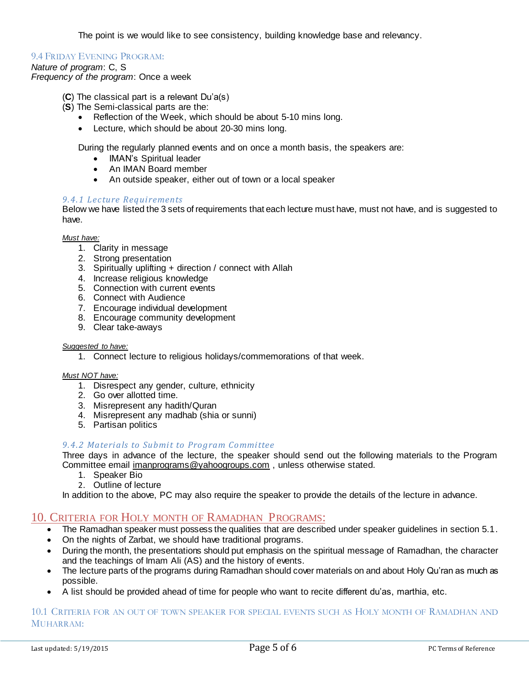The point is we would like to see consistency, building knowledge base and relevancy.

#### 9.4 FRIDAY EVENING PROGRAM:

#### *Nature of program*: C, S

*Frequency of the program*: Once a week

- (**C**) The classical part is a relevant Du'a(s)
- (**S**) The Semi-classical parts are the:
	- Reflection of the Week, which should be about 5-10 mins long.
	- Lecture, which should be about 20-30 mins long.

During the regularly planned events and on once a month basis, the speakers are:

- IMAN's Spiritual leader
- An IMAN Board member
- An outside speaker, either out of town or a local speaker

#### *9.4.1 Lecture Requi rements*

Below we have listed the 3 sets of requirements that each lecture must have, must not have, and is suggested to have.

## *Must have:*

- 1. Clarity in message
- 2. Strong presentation
- 3. Spiritually uplifting + direction / connect with Allah
- 4. Increase religious knowledge
- 5. Connection with current events
- 6. Connect with Audience
- 7. Encourage individual development
- 8. Encourage community development
- 9. Clear take-aways

#### *Suggested to have:*

1. Connect lecture to religious holidays/commemorations of that week.

#### *Must NOT have:*

- 1. Disrespect any gender, culture, ethnicity
- 2. Go over allotted time.
- 3. Misrepresent any hadith/Quran
- 4. Misrepresent any madhab (shia or sunni)
- 5. Partisan politics

#### 9.4.2 Materials to Submit to Program Committee

Three days in advance of the lecture, the speaker should send out the following materials to the Program Committee emai[l imanprograms@yahoogroups.com](mailto:imanprograms@yahoogroups.com), unless otherwise stated.

- 1. Speaker Bio
- 2. Outline of lecture

In addition to the above, PC may also require the speaker to provide the details of the lecture in advance.

# 10. CRITERIA FOR HOLY MONTH OF RAMADHAN PROGRAMS:

- The Ramadhan speaker must possess the qualities that are described under speaker guidelines in section 5.1.
- On the nights of Zarbat, we should have traditional programs.
- During the month, the presentations should put emphasis on the spiritual message of Ramadhan, the character and the teachings of Imam Ali (AS) and the history of events.
- The lecture parts of the programs during Ramadhan should cover materials on and about Holy Qu'ran as much as possible.
- A list should be provided ahead of time for people who want to recite different du'as, marthia, etc.

#### 10.1 CRITERIA FOR AN OUT OF TOWN SPEAKER FOR SPECIAL EVENTS SUCH AS HOLY MONTH OF RAMADHAN AND MUHARRAM: